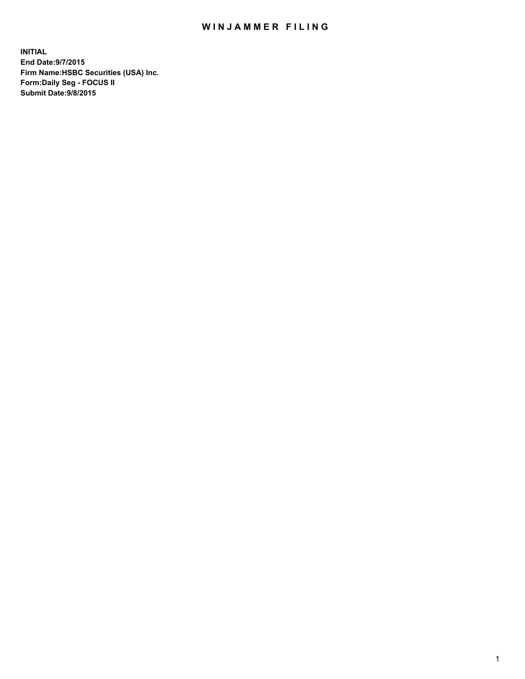## WIN JAMMER FILING

**INITIAL End Date:9/7/2015 Firm Name:HSBC Securities (USA) Inc. Form:Daily Seg - FOCUS II Submit Date:9/8/2015**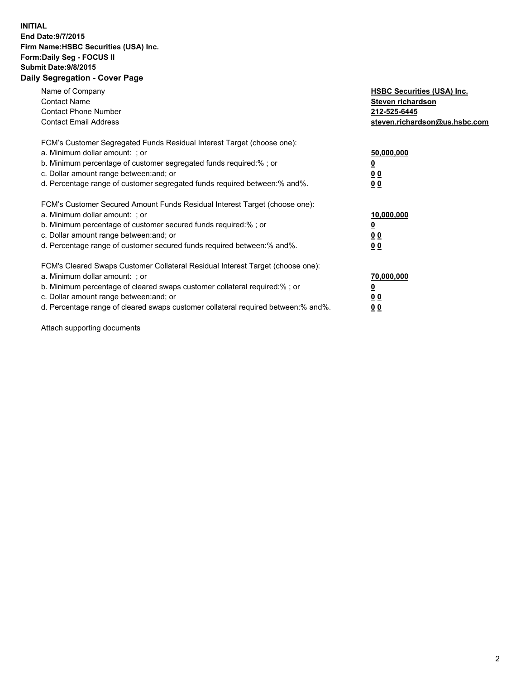## **INITIAL End Date:9/7/2015 Firm Name:HSBC Securities (USA) Inc. Form:Daily Seg - FOCUS II Submit Date:9/8/2015 Daily Segregation - Cover Page**

| Name of Company<br><b>Contact Name</b><br><b>Contact Phone Number</b><br><b>Contact Email Address</b>                                                                                                                                                                                                                          | <b>HSBC Securities (USA) Inc.</b><br>Steven richardson<br>212-525-6445<br>steven.richardson@us.hsbc.com |
|--------------------------------------------------------------------------------------------------------------------------------------------------------------------------------------------------------------------------------------------------------------------------------------------------------------------------------|---------------------------------------------------------------------------------------------------------|
| FCM's Customer Segregated Funds Residual Interest Target (choose one):<br>a. Minimum dollar amount: ; or<br>b. Minimum percentage of customer segregated funds required:%; or<br>c. Dollar amount range between: and; or<br>d. Percentage range of customer segregated funds required between:% and%.                          | 50,000,000<br>00<br>00                                                                                  |
| FCM's Customer Secured Amount Funds Residual Interest Target (choose one):<br>a. Minimum dollar amount: ; or<br>b. Minimum percentage of customer secured funds required:%; or<br>c. Dollar amount range between: and; or<br>d. Percentage range of customer secured funds required between:% and%.                            | 10,000,000<br>0 <sub>0</sub><br>00                                                                      |
| FCM's Cleared Swaps Customer Collateral Residual Interest Target (choose one):<br>a. Minimum dollar amount: ; or<br>b. Minimum percentage of cleared swaps customer collateral required:% ; or<br>c. Dollar amount range between: and; or<br>d. Percentage range of cleared swaps customer collateral required between:% and%. | 70,000,000<br><u>00</u><br><u>00</u>                                                                    |

Attach supporting documents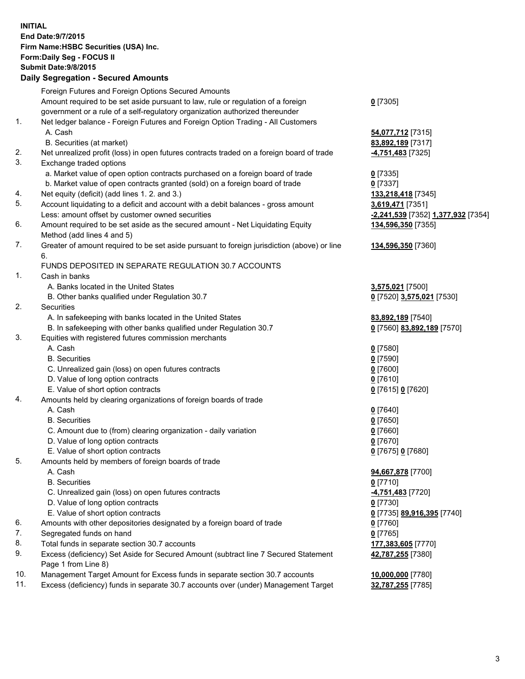**INITIAL End Date:9/7/2015 Firm Name:HSBC Securities (USA) Inc. Form:Daily Seg - FOCUS II Submit Date:9/8/2015 Daily Segregation - Secured Amounts** Foreign Futures and Foreign Options Secured Amounts Amount required to be set aside pursuant to law, rule or regulation of a foreign government or a rule of a self-regulatory organization authorized thereunder **0** [7305] 1. Net ledger balance - Foreign Futures and Foreign Option Trading - All Customers A. Cash **54,077,712** [7315] B. Securities (at market) **83,892,189** [7317] 2. Net unrealized profit (loss) in open futures contracts traded on a foreign board of trade **-4,751,483** [7325] 3. Exchange traded options a. Market value of open option contracts purchased on a foreign board of trade **0** [7335] b. Market value of open contracts granted (sold) on a foreign board of trade **0** [7337] 4. Net equity (deficit) (add lines 1. 2. and 3.) **133,218,418** [7345] 5. Account liquidating to a deficit and account with a debit balances - gross amount **3,619,471** [7351] Less: amount offset by customer owned securities **-2,241,539** [7352] **1,377,932** [7354] 6. Amount required to be set aside as the secured amount - Net Liquidating Equity Method (add lines 4 and 5) **134,596,350** [7355] 7. Greater of amount required to be set aside pursuant to foreign jurisdiction (above) or line 6. **134,596,350** [7360] FUNDS DEPOSITED IN SEPARATE REGULATION 30.7 ACCOUNTS 1. Cash in banks A. Banks located in the United States **3,575,021** [7500] B. Other banks qualified under Regulation 30.7 **0** [7520] **3,575,021** [7530] 2. Securities A. In safekeeping with banks located in the United States **83,892,189** [7540] B. In safekeeping with other banks qualified under Regulation 30.7 **0** [7560] **83,892,189** [7570] 3. Equities with registered futures commission merchants A. Cash **0** [7580] B. Securities **0** [7590] C. Unrealized gain (loss) on open futures contracts **0** [7600] D. Value of long option contracts **0** [7610] E. Value of short option contracts **0** [7615] **0** [7620] 4. Amounts held by clearing organizations of foreign boards of trade A. Cash **0** [7640] B. Securities **0** [7650] C. Amount due to (from) clearing organization - daily variation **0** [7660] D. Value of long option contracts **0** [7670] E. Value of short option contracts **0** [7675] **0** [7680] 5. Amounts held by members of foreign boards of trade A. Cash **94,667,878** [7700] B. Securities **0** [7710] C. Unrealized gain (loss) on open futures contracts **-4,751,483** [7720] D. Value of long option contracts **0** [7730] E. Value of short option contracts **0** [7735] **89,916,395** [7740] 6. Amounts with other depositories designated by a foreign board of trade **0** [7760] 7. Segregated funds on hand **0** [7765] 8. Total funds in separate section 30.7 accounts **177,383,605** [7770] 9. Excess (deficiency) Set Aside for Secured Amount (subtract line 7 Secured Statement Page 1 from Line 8) **42,787,255** [7380] 10. Management Target Amount for Excess funds in separate section 30.7 accounts **10,000,000** [7780]

11. Excess (deficiency) funds in separate 30.7 accounts over (under) Management Target **32,787,255** [7785]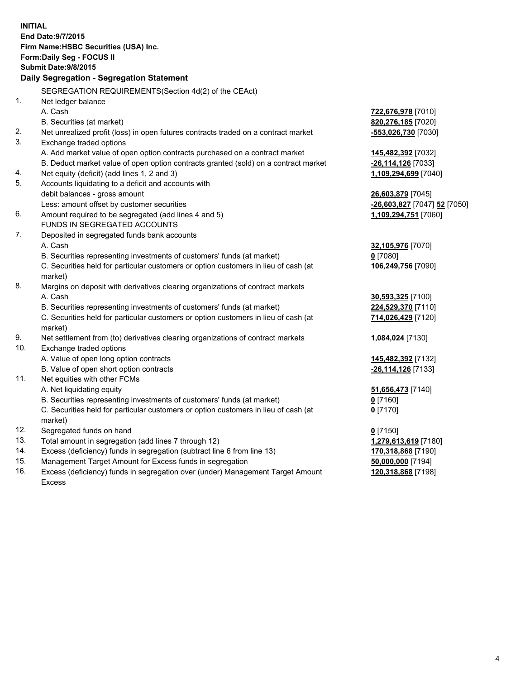| <b>INITIAL</b>                        | End Date: 9/7/2015                                                                             |                              |  |  |  |
|---------------------------------------|------------------------------------------------------------------------------------------------|------------------------------|--|--|--|
| Firm Name: HSBC Securities (USA) Inc. |                                                                                                |                              |  |  |  |
|                                       | Form: Daily Seg - FOCUS II                                                                     |                              |  |  |  |
| <b>Submit Date: 9/8/2015</b>          |                                                                                                |                              |  |  |  |
|                                       | Daily Segregation - Segregation Statement                                                      |                              |  |  |  |
|                                       | SEGREGATION REQUIREMENTS(Section 4d(2) of the CEAct)                                           |                              |  |  |  |
| 1.                                    | Net ledger balance                                                                             |                              |  |  |  |
|                                       | A. Cash                                                                                        | 722,676,978 [7010]           |  |  |  |
|                                       | B. Securities (at market)                                                                      | 820,276,185 [7020]           |  |  |  |
| 2.                                    | Net unrealized profit (loss) in open futures contracts traded on a contract market             | -553,026,730 [7030]          |  |  |  |
| 3.                                    | Exchange traded options                                                                        |                              |  |  |  |
|                                       | A. Add market value of open option contracts purchased on a contract market                    | 145,482,392 [7032]           |  |  |  |
|                                       | B. Deduct market value of open option contracts granted (sold) on a contract market            | -26,114,126 [7033]           |  |  |  |
| 4.                                    | Net equity (deficit) (add lines 1, 2 and 3)                                                    | 1,109,294,699 [7040]         |  |  |  |
| 5.                                    | Accounts liquidating to a deficit and accounts with                                            |                              |  |  |  |
|                                       | debit balances - gross amount                                                                  | 26,603,879 [7045]            |  |  |  |
|                                       | Less: amount offset by customer securities                                                     | -26,603,827 [7047] 52 [7050] |  |  |  |
| 6.                                    | Amount required to be segregated (add lines 4 and 5)                                           | 1,109,294,751 [7060]         |  |  |  |
|                                       | FUNDS IN SEGREGATED ACCOUNTS                                                                   |                              |  |  |  |
| 7.                                    | Deposited in segregated funds bank accounts                                                    |                              |  |  |  |
|                                       | A. Cash                                                                                        | 32,105,976 [7070]            |  |  |  |
|                                       | B. Securities representing investments of customers' funds (at market)                         | $0$ [7080]                   |  |  |  |
|                                       | C. Securities held for particular customers or option customers in lieu of cash (at            | 106,249,756 [7090]           |  |  |  |
|                                       | market)                                                                                        |                              |  |  |  |
| 8.                                    | Margins on deposit with derivatives clearing organizations of contract markets                 |                              |  |  |  |
|                                       | A. Cash                                                                                        | 30,593,325 [7100]            |  |  |  |
|                                       | B. Securities representing investments of customers' funds (at market)                         | 224,529,370 [7110]           |  |  |  |
|                                       | C. Securities held for particular customers or option customers in lieu of cash (at<br>market) | 714,026,429 [7120]           |  |  |  |
| 9.                                    | Net settlement from (to) derivatives clearing organizations of contract markets                | 1,084,024 [7130]             |  |  |  |
| 10.                                   | Exchange traded options                                                                        |                              |  |  |  |
|                                       | A. Value of open long option contracts                                                         | 145,482,392 [7132]           |  |  |  |
|                                       | B. Value of open short option contracts                                                        | -26,114,126 [7133]           |  |  |  |
| 11.                                   | Net equities with other FCMs                                                                   |                              |  |  |  |
|                                       | A. Net liquidating equity                                                                      | 51,656,473 [7140]            |  |  |  |
|                                       | B. Securities representing investments of customers' funds (at market)                         | 0 <sup>[7160]</sup>          |  |  |  |
|                                       | C. Securities held for particular customers or option customers in lieu of cash (at<br>market) | $0$ [7170]                   |  |  |  |
| 12.                                   | Segregated funds on hand                                                                       | $0$ [7150]                   |  |  |  |
| 13.                                   | Total amount in segregation (add lines 7 through 12)                                           | 1,279,613,619 [7180]         |  |  |  |
| 14.                                   | Excess (deficiency) funds in segregation (subtract line 6 from line 13)                        | 170,318,868 [7190]           |  |  |  |
| 15.                                   | Management Target Amount for Excess funds in segregation                                       | 50,000,000 [7194]            |  |  |  |
| 16.                                   | Excess (deficiency) funds in segregation over (under) Management Target Amount                 | 120,318,868 [7198]           |  |  |  |

16. Excess (deficiency) funds in segregation over (under) Management Target Amount Excess